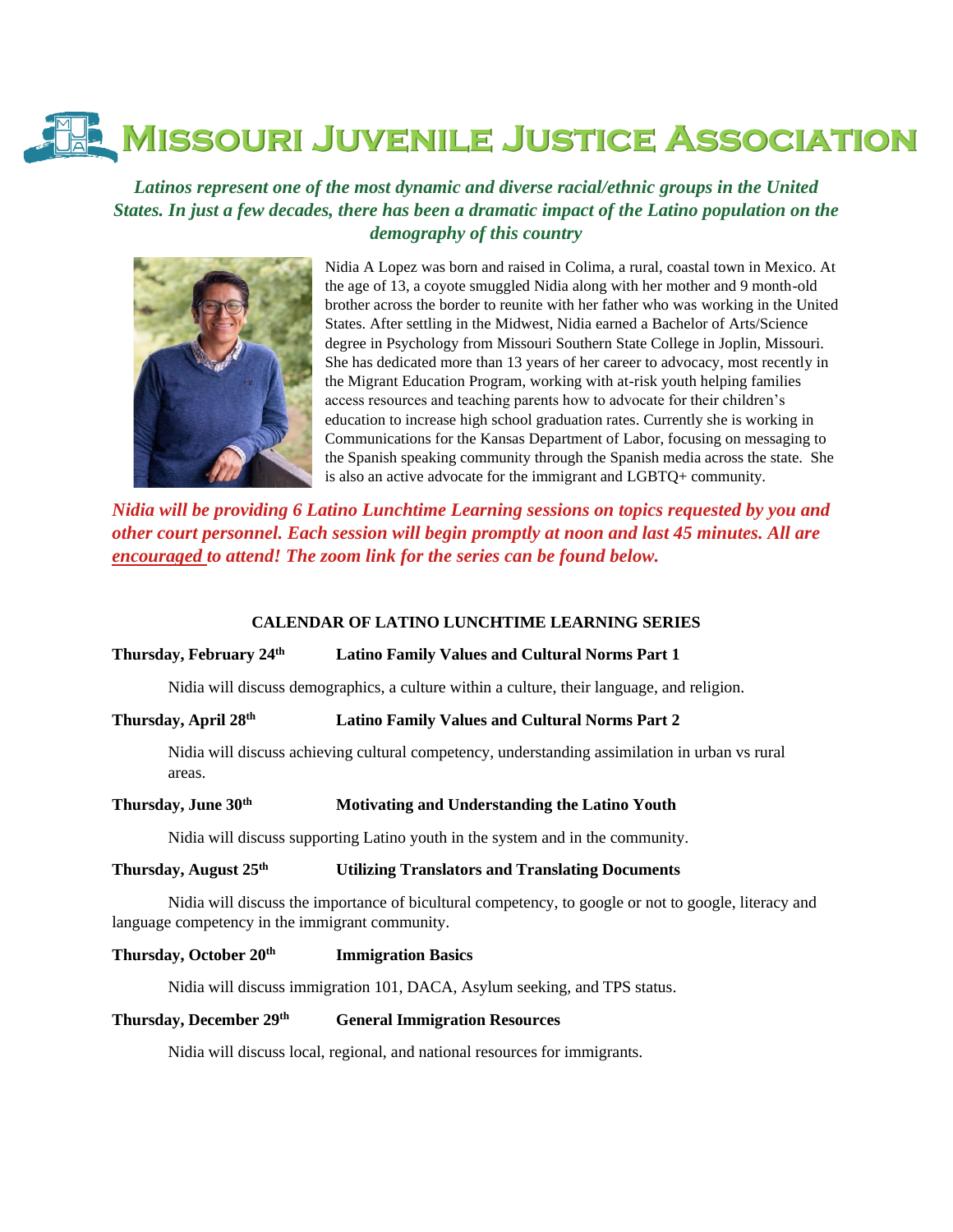# **MISSOURI JUVENILE JUSTICE ASSOCIATION**

*Latinos represent one of the most dynamic and diverse racial/ethnic groups in the United States. In just a few decades, there has been a dramatic impact of the Latino population on the demography of this country*



Nidia A Lopez was born and raised in Colima, a rural, coastal town in Mexico. At the age of 13, a coyote smuggled Nidia along with her mother and 9 month-old brother across the border to reunite with her father who was working in the United States. After settling in the Midwest, Nidia earned a Bachelor of Arts/Science degree in Psychology from Missouri Southern State College in Joplin, Missouri. She has dedicated more than 13 years of her career to advocacy, most recently in the Migrant Education Program, working with at-risk youth helping families access resources and teaching parents how to advocate for their children's education to increase high school graduation rates. Currently she is working in Communications for the Kansas Department of Labor, focusing on messaging to the Spanish speaking community through the Spanish media across the state. She is also an active advocate for the immigrant and LGBTQ+ community.

*Nidia will be providing 6 Latino Lunchtime Learning sessions on topics requested by you and other court personnel. Each session will begin promptly at noon and last 45 minutes. All are encouraged to attend! The zoom link for the series can be found below.*

#### **CALENDAR OF LATINO LUNCHTIME LEARNING SERIES**

#### **Thursday, February 24th Latino Family Values and Cultural Norms Part 1**

Nidia will discuss demographics, a culture within a culture, their language, and religion.

## **Thursday, April 28th Latino Family Values and Cultural Norms Part 2**

Nidia will discuss achieving cultural competency, understanding assimilation in urban vs rural areas.

### **Thursday, June 30th Motivating and Understanding the Latino Youth**

Nidia will discuss supporting Latino youth in the system and in the community.

#### **Thursday, August 25th Utilizing Translators and Translating Documents**

Nidia will discuss the importance of bicultural competency, to google or not to google, literacy and language competency in the immigrant community.

#### **Thursday, October 20th Immigration Basics**

Nidia will discuss immigration 101, DACA, Asylum seeking, and TPS status.

# **Thursday, December 29th General Immigration Resources**

Nidia will discuss local, regional, and national resources for immigrants.